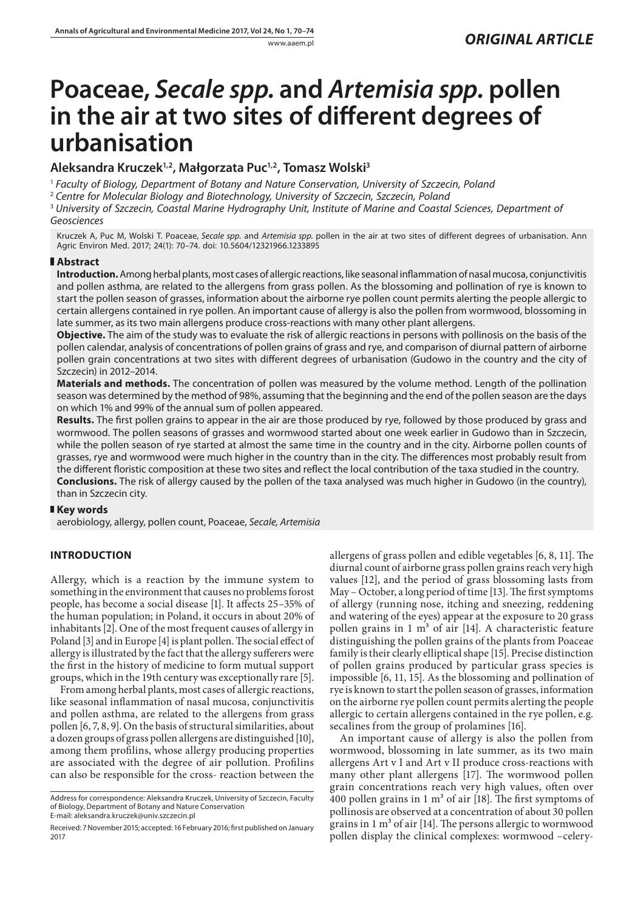# **Poaceae,** *Secale spp.* **and** *Artemisia spp.* **pollen in the air at two sites of different degrees of urbanisation**

# **Aleksandra Kruczek1,2, Małgorzata Puc1,2, Tomasz Wolski3**

<sup>1</sup> *Faculty of Biology, Department of Botany and Nature Conservation, University of Szczecin, Poland*

<sup>2</sup> *Centre for Molecular Biology and Biotechnology, University of Szczecin, Szczecin, Poland*

<sup>3</sup> *University of Szczecin, Coastal Marine Hydrography Unit, Institute of Marine and Coastal Sciences, Department of Geosciences*

Kruczek A, Puc M, Wolski T. Poaceae, *Secale spp.* and *Artemisia spp.* pollen in the air at two sites of different degrees of urbanisation. Ann Agric Environ Med. 2017; 24(1): 70–74. doi: 10.5604/12321966.1233895

# **Abstract**

**Introduction.** Among herbal plants, most cases of allergic reactions, like seasonal inflammation of nasal mucosa, conjunctivitis and pollen asthma, are related to the allergens from grass pollen. As the blossoming and pollination of rye is known to start the pollen season of grasses, information about the airborne rye pollen count permits alerting the people allergic to certain allergens contained in rye pollen. An important cause of allergy is also the pollen from wormwood, blossoming in late summer, as its two main allergens produce cross-reactions with many other plant allergens.

**Objective.** The aim of the study was to evaluate the risk of allergic reactions in persons with pollinosis on the basis of the pollen calendar, analysis of concentrations of pollen grains of grass and rye, and comparison of diurnal pattern of airborne pollen grain concentrations at two sites with different degrees of urbanisation (Gudowo in the country and the city of Szczecin) in 2012–2014.

**Materials and methods.** The concentration of pollen was measured by the volume method. Length of the pollination season was determined by the method of 98%, assuming that the beginning and the end of the pollen season are the days on which 1% and 99% of the annual sum of pollen appeared.

**Results.** The first pollen grains to appear in the air are those produced by rye, followed by those produced by grass and wormwood. The pollen seasons of grasses and wormwood started about one week earlier in Gudowo than in Szczecin, while the pollen season of rye started at almost the same time in the country and in the city. Airborne pollen counts of grasses, rye and wormwood were much higher in the country than in the city. The differences most probably result from the different floristic composition at these two sites and reflect the local contribution of the taxa studied in the country. **Conclusions.** The risk of allergy caused by the pollen of the taxa analysed was much higher in Gudowo (in the country), than in Szczecin city.

# **Key words**

aerobiology, allergy, pollen count, Poaceae, *Secale, Artemisia*

# **INTRODUCTION**

Allergy, which is a reaction by the immune system to something in the environment that causes no problems forost people, has become a social disease [1]. It affects 25–35% of the human population; in Poland, it occurs in about 20% of inhabitants [2]. One of the most frequent causes of allergy in Poland [3] and in Europe [4] is plant pollen. The social effect of allergy is illustrated by the fact that the allergy sufferers were the first in the history of medicine to form mutual support groups, which in the 19th century was exceptionally rare [5].

From among herbal plants, most cases of allergic reactions, like seasonal inflammation of nasal mucosa, conjunctivitis and pollen asthma, are related to the allergens from grass pollen [6, 7, 8, 9]. On the basis of structural similarities, about a dozen groups of grass pollen allergens are distinguished [10], among them profilins, whose allergy producing properties are associated with the degree of air pollution. Profilins can also be responsible for the cross- reaction between the

Address for correspondence: Aleksandra Kruczek, University of Szczecin, Faculty of Biology, Department of Botany and Nature Conservation E-mail: aleksandra.kruczek@univ.szczecin.pl

allergens of grass pollen and edible vegetables [6, 8, 11]. The diurnal count of airborne grass pollen grains reach very high values [12], and the period of grass blossoming lasts from May – October, a long period of time [13]. The first symptoms of allergy (running nose, itching and sneezing, reddening and watering of the eyes) appear at the exposure to 20 grass pollen grains in 1  $m<sup>3</sup>$  of air [14]. A characteristic feature distinguishing the pollen grains of the plants from Poaceae family is their clearly elliptical shape [15]. Precise distinction of pollen grains produced by particular grass species is impossible [6, 11, 15]. As the blossoming and pollination of rye is known to start the pollen season of grasses, information on the airborne rye pollen count permits alerting the people allergic to certain allergens contained in the rye pollen, e.g. secalines from the group of prolamines [16].

An important cause of allergy is also the pollen from wormwood, blossoming in late summer, as its two main allergens Art v I and Art v II produce cross-reactions with many other plant allergens [17]. The wormwood pollen grain concentrations reach very high values, often over 400 pollen grains in 1  $m<sup>3</sup>$  of air [18]. The first symptoms of pollinosis are observed at a concentration of about 30 pollen grains in  $1 \text{ m}^3$  of air [14]. The persons allergic to wormwood pollen display the clinical complexes: wormwood –celery-

Received: 7 November 2015; accepted: 16 February 2016; first published on January 2017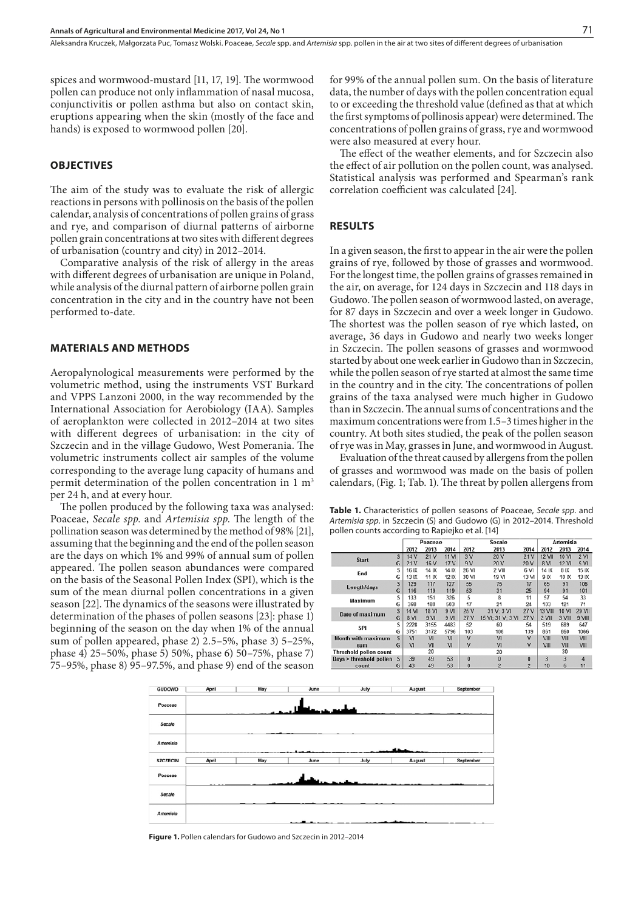spices and wormwood-mustard [11, 17, 19]. The wormwood pollen can produce not only inflammation of nasal mucosa, conjunctivitis or pollen asthma but also on contact skin, eruptions appearing when the skin (mostly of the face and hands) is exposed to wormwood pollen [20].

#### **OBJECTIVES**

The aim of the study was to evaluate the risk of allergic reactions in persons with pollinosis on the basis of the pollen calendar, analysis of concentrations of pollen grains of grass and rye, and comparison of diurnal patterns of airborne pollen grain concentrations at two sites with different degrees of urbanisation (country and city) in 2012–2014.

Comparative analysis of the risk of allergy in the areas with different degrees of urbanisation are unique in Poland, while analysis of the diurnal pattern of airborne pollen grain concentration in the city and in the country have not been performed to-date.

#### **MATERIALS AND METHODS**

Aeropalynological measurements were performed by the volumetric method, using the instruments VST Burkard and VPPS Lanzoni 2000, in the way recommended by the International Association for Aerobiology (IAA). Samples of aeroplankton were collected in 2012–2014 at two sites with different degrees of urbanisation: in the city of Szczecin and in the village Gudowo, West Pomerania. The volumetric instruments collect air samples of the volume corresponding to the average lung capacity of humans and permit determination of the pollen concentration in 1 m<sup>3</sup> per 24 h, and at every hour.

The pollen produced by the following taxa was analysed: Poaceae, *Secale spp*. and *Artemisia spp*. The length of the pollination season was determined by the method of 98% [21], assuming that the beginning and the end of the pollen season are the days on which 1% and 99% of annual sum of pollen appeared. The pollen season abundances were compared on the basis of the Seasonal Pollen Index (SPI), which is the sum of the mean diurnal pollen concentrations in a given season [22]. The dynamics of the seasons were illustrated by determination of the phases of pollen seasons [23]: phase 1) beginning of the season on the day when 1% of the annual sum of pollen appeared, phase 2) 2.5–5%, phase 3) 5–25%, phase 4) 25–50%, phase 5) 50%, phase 6) 50–75%, phase 7) 75–95%, phase 8) 95–97.5%, and phase 9) end of the season

for 99% of the annual pollen sum. On the basis of literature data, the number of days with the pollen concentration equal to or exceeding the threshold value (defined as that at which the first symptoms of pollinosis appear) were determined. The concentrations of pollen grains of grass, rye and wormwood were also measured at every hour.

The effect of the weather elements, and for Szczecin also the effect of air pollution on the pollen count, was analysed. Statistical analysis was performed and Spearman's rank correlation coefficient was calculated [24].

#### **RESULTS**

In a given season, the first to appear in the air were the pollen grains of rye, followed by those of grasses and wormwood. For the longest time, the pollen grains of grasses remained in the air, on average, for 124 days in Szczecin and 118 days in Gudowo. The pollen season of wormwood lasted, on average, for 87 days in Szczecin and over a week longer in Gudowo. The shortest was the pollen season of rye which lasted, on average, 36 days in Gudowo and nearly two weeks longer in Szczecin. The pollen seasons of grasses and wormwood started by about one week earlier in Gudowo than in Szczecin, while the pollen season of rye started at almost the same time in the country and in the city. The concentrations of pollen grains of the taxa analysed were much higher in Gudowo than in Szczecin. The annual sums of concentrations and the maximum concentrations were from 1.5–3 times higher in the country. At both sites studied, the peak of the pollen season of rye was in May, grasses in June, and wormwood in August.

Evaluation of the threat caused by allergens from the pollen of grasses and wormwood was made on the basis of pollen calendars, (Fig. 1; Tab. 1). The threat by pollen allergens from

**Table 1.** Characteristics of pollen seasons of Poaceae, *Secale spp*. and *Artemisia spp*. in Szczecin (S) and Gudowo (G) in 2012–2014. Threshold pollen counts according to Rapiejko et al. [14]

|                         |                              |                | Poaceae         |                |              | Secale            | Artemisia      |                |        |                 |
|-------------------------|------------------------------|----------------|-----------------|----------------|--------------|-------------------|----------------|----------------|--------|-----------------|
|                         | 2013<br>2014<br>2012<br>2012 |                |                 |                | 2013         | 2014              | 2012           | 2013           | 2014   |                 |
| <b>Start</b>            | S                            | 14 V           | 21 <sub>V</sub> | 11 VI          | 3V           | 20 V              | 21V            | 12 VII         | 10 VI  | 2 <sub>VI</sub> |
|                         | G                            | 21V            | 16 V            | 17 V           | 9V           | 20 V              | 20 V           | 8 VI           | 12 VI  | 5 <sub>VI</sub> |
| End                     | s                            | 16 IX          | 14 IX           | 14 IX          | 26 VI        | 2 VIII            | 6 VI           | 14 IX          | 8 IX   | 15 IX           |
|                         | G                            | 13 IX          | 11 IX           | 12 IX          | 30 VI        | 19 VI             | 13 VI          | 9 IX           | 10 IX  | 13 IX           |
| Length/days             | S                            | 129            | 117             | 127            | 55           | 75                | 17             | 65             | 91     | 106             |
|                         | G                            | 116            | 119             | 119            | 53           | 31                | 25             | 94             | 91     | 101             |
| Maximum                 | s                            | 133            | 151             | 326            | 5            | 8                 | 11             | 57             | 54     | 33              |
|                         | G                            | 368            | 180             | 503            | 17           | 21                | 24             | 103            | 121    | 71              |
| Date of maximum         | S                            | 14 VI          | 18 VI           | 9 VI           | 25 V         | 31 V: 3 VI        | 27 V           | <b>13 VIII</b> | 10 VI  | 29 VII          |
|                         | G                            | 8 VI           | 9 <sub>M</sub>  | 9 <sub>M</sub> | 27 V         | 15 VI: 31 V: 3 VI | 27 V           | 2 VIII         | 3 VIII | 9 VIII          |
| SPI                     | S                            | 2228           | 3155            | 4483           | 52           | 60                | 54             | 519            | 689    | 647             |
|                         | G                            | 3751           | 3172            | 5796           | 103          | 108               | 139            | 861            | 860    | 1066            |
| Month with maximum      | S                            | V <sub>1</sub> | VI              | VI             | $\mathsf{V}$ | <b>VI</b>         | V              | VIII           | VIII   | VIII            |
| sum                     | G                            | V <sub>1</sub> | VII             | VI             | v            | <b>VI</b>         | v              | VIII           | VIII   | VIII            |
| Threshold pollen count  |                              |                | 20              |                |              | 20                |                |                | 30     |                 |
| Days > threshold pollen |                              | 39             | 49              | 53             | $\Omega$     | $\theta$          | $\Omega$       | $\overline{3}$ | 3      | 4               |
| G<br>count              |                              | 43             | 49              | 53             | 0            | $\overline{2}$    | $\overline{2}$ | 10             | 6      | 11              |



**Figure 1.** Pollen calendars for Gudowo and Szczecin in 2012–2014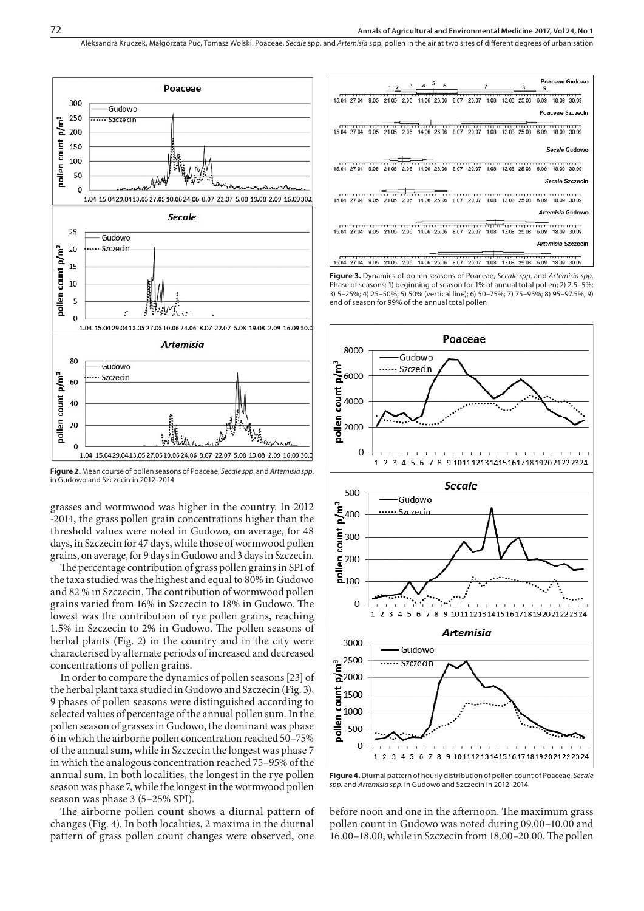Aleksandra Kruczek, Małgorzata Puc, Tomasz Wolski . Poaceae, *Secale* spp. and *Artemisia* spp. pollen in the air at two sites of different degrees of urbanisation



**Figure 2.** Mean course of pollen seasons of Poaceae, *Secale spp*. and *Artemisia spp*. in Gudowo and Szczecin in 2012–2014

grasses and wormwood was higher in the country. In 2012 -2014, the grass pollen grain concentrations higher than the threshold values were noted in Gudowo, on average, for 48 days, in Szczecin for 47 days, while those of wormwood pollen grains, on average, for 9 days in Gudowo and 3 days in Szczecin.

The percentage contribution of grass pollen grains in SPI of the taxa studied was the highest and equal to 80% in Gudowo and 82 % in Szczecin. The contribution of wormwood pollen grains varied from 16% in Szczecin to 18% in Gudowo. The lowest was the contribution of rye pollen grains, reaching 1.5% in Szczecin to 2% in Gudowo. The pollen seasons of herbal plants (Fig. 2) in the country and in the city were characterised by alternate periods of increased and decreased concentrations of pollen grains.

In order to compare the dynamics of pollen seasons [23] of the herbal plant taxa studied in Gudowo and Szczecin (Fig. 3), 9 phases of pollen seasons were distinguished according to selected values of percentage of the annual pollen sum. In the pollen season of grasses in Gudowo, the dominant was phase 6 in which the airborne pollen concentration reached 50–75% of the annual sum, while in Szczecin the longest was phase 7 in which the analogous concentration reached 75–95% of the annual sum. In both localities, the longest in the rye pollen season was phase 7, while the longest in the wormwood pollen season was phase 3 (5–25% SPI).

The airborne pollen count shows a diurnal pattern of changes (Fig. 4). In both localities, 2 maxima in the diurnal pattern of grass pollen count changes were observed, one

|                        |            | $4^{5}$<br>з        | 6     |               |                        | я           | Poaceae Gudowo<br>9    |                    |  |
|------------------------|------------|---------------------|-------|---------------|------------------------|-------------|------------------------|--------------------|--|
| 9.05<br>15.04 27.04    | 21.05      | 2.06<br>14.06 26.06 |       | 8.07<br>20.07 | 1.08                   | 13.08 25.08 | 6.09                   | 18.09 30.09        |  |
|                        |            |                     |       |               |                        |             |                        | Poaceae Szczecin   |  |
|                        |            |                     |       |               |                        |             |                        |                    |  |
| 15.04 27.04<br>9.05    | 21.05      | 2.06<br>14.06 26.06 |       | 8.07<br>20.07 | 1.08                   | 13.08 25.08 | 6.09                   | 18.09 30.09        |  |
|                        |            |                     |       |               |                        |             |                        | Secale Gudowo      |  |
| 15.04 27.04<br>9.05    | 21.05      | 2.06<br>14.06       | 26.06 | 20.07<br>8.07 | 1.08                   | 13.08 25.08 | 6.09                   | 18.09 30.09        |  |
|                        |            |                     |       |               |                        |             |                        | Secale Szczecin    |  |
| 15.04 27.04 9.05 21.05 |            | 2.06<br>14.06 26.06 |       | 8.07          | 20.07 1.08 13.08 25.08 |             | 6.09 18.09 30.09       |                    |  |
|                        |            |                     |       |               |                        |             |                        | Artemisia Gudowo   |  |
|                        |            |                     |       |               | . <del>.</del>         |             | ,,,,,,,,,,,,,,,,,,,,,, |                    |  |
| 15.04 27.04            | 9.05 21.05 | 2.06<br>14.06 26.06 |       | 8.07<br>20.07 | 1.08 13.08 25.08       |             | 6.09                   | 18.09 30.09        |  |
|                        |            |                     |       |               |                        |             |                        | Artemisia Szczecin |  |
|                        |            |                     |       |               |                        |             |                        |                    |  |
| 15.04 27.04<br>9.05    | 21.05      | 2.06<br>14.06 26.06 |       | 20.07<br>8.07 | 1.08                   | 13.08 25.08 | 6.09                   | 18.09 30.09        |  |

**Figure 3.** Dynamics of pollen seasons of Poaceae, *Secale spp*. and *Artemisia spp*. Phase of seasons: 1) beginning of season for 1% of annual total pollen; 2) 2.5–5%; 3) 5–25%; 4) 25–50%; 5) 50% (vertical line); 6) 50–75%; 7) 75–95%; 8) 95–97.5%; 9) end of season for 99% of the annual total pollen



**Figure 4.** Diurnal pattern of hourly distribution of pollen count of Poaceae, *Secale spp*. and *Artemisia spp*. in Gudowo and Szczecin in 2012–2014

before noon and one in the afternoon. The maximum grass pollen count in Gudowo was noted during 09.00–10.00 and 16.00–18.00, while in Szczecin from 18.00–20.00. The pollen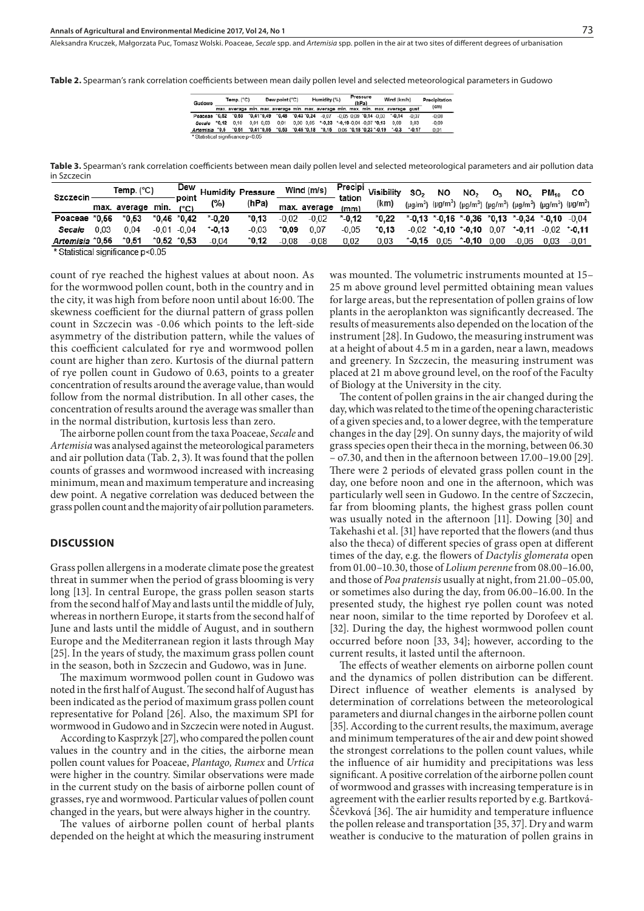**Table 2.** Spearman's rank correlation coefficients between mean daily pollen level and selected meteorological parameters in Gudowo

| Gudowo                            |         | Temp. $(^{\circ}C)$                       | Dew point (°C)             |                                                      |  | Humidity (%) |                                                            |                              | Pressure<br>(hPa) |  |  | Wind (km/h)                                                                       |         | Precipitation |  |
|-----------------------------------|---------|-------------------------------------------|----------------------------|------------------------------------------------------|--|--------------|------------------------------------------------------------|------------------------------|-------------------|--|--|-----------------------------------------------------------------------------------|---------|---------------|--|
|                                   |         |                                           |                            |                                                      |  |              |                                                            |                              |                   |  |  | max, average min, max, average min, max, average min, max, min, max, average gust |         | (cm)          |  |
| Poaceae "0.62 "0.63               |         |                                           | $^{\circ}0.41^{\circ}0.49$ | $^{\circ}0.48$ $^{\circ}0.43$ $^{\circ}0.24$ $-0.07$ |  |              |                                                            | $-0.05$ 0.09 $-0.14$ $-0.03$ |                   |  |  | $-0.14$                                                                           | $-0.07$ | $-0.08$       |  |
| Secale                            | $-0.12$ | 0.10                                      | $0.01$ $0.03$              | 0.01                                                 |  |              | $0.00$ $0.05$ $*$ -0.23 $*$ -0.19 $-0.04$ $-0.07$ $*$ 0.13 |                              |                   |  |  | 0.08                                                                              | 0.03    | $-0.09$       |  |
| Artemisia *0.5                    |         | $^{\circ}0.51$ $^{\circ}0.41^{\circ}0.55$ |                            | $*0.63$                                              |  |              | $^{\circ}0.45$ $^{\circ}0.18$ $^{\circ}0.15$               |                              |                   |  |  | $0.06$ $^{\circ}0.18$ $^{\circ}0.23$ $^{\circ}$ -0.19 $^{\circ}$ -0.3             | $-0.17$ | 0.01          |  |
| * Statistical significance p<0.05 |         |                                           |                            |                                                      |  |              |                                                            |                              |                   |  |  |                                                                                   |         |               |  |

**Table 3.** Spearman's rank correlation coefficients between mean daily pollen level and selected meteorological parameters and air pollution data in Szczecin

| Szczecin                                     |      | Temp. (°C)        |  | Dew<br>point   |           | <b>Humidity Pressure</b> | Wind (m/s) |              | tation  | <b>Example 21 Precipi</b> Visibility on | SO <sub>2</sub>                                                                                                                                    | NO.     | NO <sub>2</sub>  | 0,   | NO.                                               | $PM_{40}$ | CO              |
|----------------------------------------------|------|-------------------|--|----------------|-----------|--------------------------|------------|--------------|---------|-----------------------------------------|----------------------------------------------------------------------------------------------------------------------------------------------------|---------|------------------|------|---------------------------------------------------|-----------|-----------------|
|                                              |      | max. average min. |  | (°C)           | (%)       | (hPa)                    |            | max. average | (mm)    | (km)                                    | (µg/m <sup>3</sup> ) (µg/m <sup>3</sup> ) (µg/m <sup>3</sup> ) (µg/m <sup>3</sup> ) (µg/m <sup>3</sup> ) (µg/m <sup>3</sup> ) (µg/m <sup>3</sup> ) |         |                  |      |                                                   |           |                 |
| Poaceae *0.56                                |      | $*0.53$           |  | $*0.46 *0.42$  | $*$ -0.20 | $*0.13$                  | $-0.02$    | $-0.02$      | $*0.12$ | $^*0.22$                                |                                                                                                                                                    |         |                  |      | $*0.13 * 0.16 * 0.36 * 0.13 * 0.34 * 0.10 * 0.04$ |           |                 |
| Secale                                       | 0.03 | 0.04              |  | $-0.01 - 0.04$ | $-0.13$   | $-0.03$                  | 0.09°      | 0.07         | $-0.05$ | *0.13                                   | $-0.02$                                                                                                                                            | $-0.10$ | $^{\circ}$ -0.10 | 0.07 | $-0.11$                                           |           | $-0.02$ $-0.11$ |
| Artemisia *0.56                              |      | $*0.51$           |  | $*0.52 *0.53$  | $-0.04$   | *0.12                    | $-0.08$    | $-0.08$      | 0.02    | 0.03                                    | $*$ -0,15                                                                                                                                          | 0.05    | $^*$ 0.10        | 0.00 | $-0.06$                                           | 0.03      | $-0.01$         |
| $*$ Ctatictical cignificance $n \times 0.05$ |      |                   |  |                |           |                          |            |              |         |                                         |                                                                                                                                                    |         |                  |      |                                                   |           |                 |

Statistical significance p<0.05

count of rye reached the highest values at about noon. As for the wormwood pollen count, both in the country and in the city, it was high from before noon until about 16:00. The skewness coefficient for the diurnal pattern of grass pollen count in Szczecin was -0.06 which points to the left-side asymmetry of the distribution pattern, while the values of this coefficient calculated for rye and wormwood pollen count are higher than zero. Kurtosis of the diurnal pattern of rye pollen count in Gudowo of 0.63, points to a greater concentration of results around the average value, than would follow from the normal distribution. In all other cases, the concentration of results around the average was smaller than in the normal distribution, kurtosis less than zero.

The airborne pollen count from the taxa Poaceae, *Secale* and *Artemisia* was analysed against the meteorological parameters and air pollution data (Tab. 2, 3). It was found that the pollen counts of grasses and wormwood increased with increasing minimum, mean and maximum temperature and increasing dew point. A negative correlation was deduced between the grass pollen count and the majority of air pollution parameters.

## **DISCUSSION**

Grass pollen allergens in a moderate climate pose the greatest threat in summer when the period of grass blooming is very long [13]. In central Europe, the grass pollen season starts from the second half of May and lasts until the middle of July, whereas in northern Europe, it starts from the second half of June and lasts until the middle of August, and in southern Europe and the Mediterranean region it lasts through May [25]. In the years of study, the maximum grass pollen count in the season, both in Szczecin and Gudowo, was in June.

The maximum wormwood pollen count in Gudowo was noted in the first half of August. The second half of August has been indicated as the period of maximum grass pollen count representative for Poland [26]. Also, the maximum SPI for wormwood in Gudowo and in Szczecin were noted in August.

According to Kasprzyk [27], who compared the pollen count values in the country and in the cities, the airborne mean pollen count values for Poaceae, *Plantago, Rumex* and *Urtica* were higher in the country. Similar observations were made in the current study on the basis of airborne pollen count of grasses, rye and wormwood. Particular values of pollen count changed in the years, but were always higher in the country.

The values of airborne pollen count of herbal plants depended on the height at which the measuring instrument was mounted. The volumetric instruments mounted at 15– 25 m above ground level permitted obtaining mean values for large areas, but the representation of pollen grains of low plants in the aeroplankton was significantly decreased. The results of measurements also depended on the location of the instrument [28]. In Gudowo, the measuring instrument was at a height of about 4.5 m in a garden, near a lawn, meadows and greenery. In Szczecin, the measuring instrument was placed at 21 m above ground level, on the roof of the Faculty of Biology at the University in the city.

The content of pollen grains in the air changed during the day, which was related to the time of the opening characteristic of a given species and, to a lower degree, with the temperature changes in the day [29]. On sunny days, the majority of wild grass species open their theca in the morning, between 06.30 – o7.30, and then in the afternoon between 17.00–19.00 [29]. There were 2 periods of elevated grass pollen count in the day, one before noon and one in the afternoon, which was particularly well seen in Gudowo. In the centre of Szczecin, far from blooming plants, the highest grass pollen count was usually noted in the afternoon [11]. Dowing [30] and Takehashi et al. [31] have reported that the flowers (and thus also the theca) of different species of grass open at different times of the day, e.g. the flowers of *Dactylis glomerata* open from 01.00–10.30, those of *Lolium perenne* from 08.00–16.00, and those of *Poa pratensis* usually at night, from 21.00–05.00, or sometimes also during the day, from 06.00–16.00. In the presented study, the highest rye pollen count was noted near noon, similar to the time reported by Dorofeev et al. [32]. During the day, the highest wormwood pollen count occurred before noon [33, 34]; however, according to the current results, it lasted until the afternoon.

The effects of weather elements on airborne pollen count and the dynamics of pollen distribution can be different. Direct influence of weather elements is analysed by determination of correlations between the meteorological parameters and diurnal changes in the airborne pollen count [35]. According to the current results, the maximum, average and minimum temperatures of the air and dew point showed the strongest correlations to the pollen count values, while the influence of air humidity and precipitations was less significant. A positive correlation of the airborne pollen count of wormwood and grasses with increasing temperature is in agreement with the earlier results reported by e.g. Bartková-Ščevková [36]. The air humidity and temperature influence the pollen release and transportation [35, 37]. Dry and warm weather is conducive to the maturation of pollen grains in